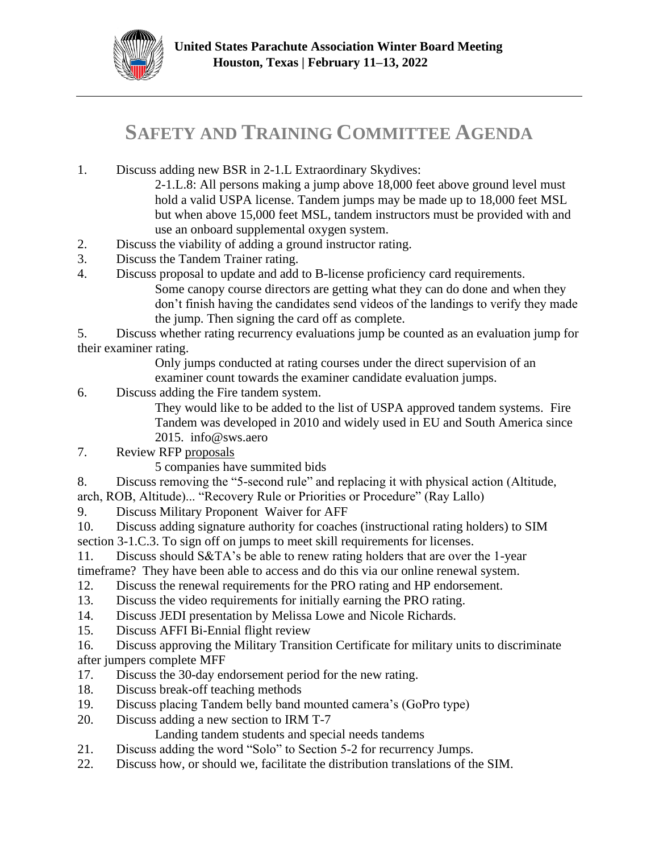

## **SAFETY AND TRAINING COMMITTEE AGENDA**

1. Discuss adding new BSR in 2-1.L Extraordinary Skydives:

2-1.L.8: All persons making a jump above 18,000 feet above ground level must hold a valid USPA license. Tandem jumps may be made up to 18,000 feet MSL but when above 15,000 feet MSL, tandem instructors must be provided with and use an onboard supplemental oxygen system.

- 2. Discuss the viability of adding a ground instructor rating.
- 3. Discuss the Tandem Trainer rating.
- 4. Discuss proposal to update and add to B-license proficiency card requirements. Some canopy course directors are getting what they can do done and when they don't finish having the candidates send videos of the landings to verify they made the jump. Then signing the card off as complete.

5. Discuss whether rating recurrency evaluations jump be counted as an evaluation jump for their examiner rating.

Only jumps conducted at rating courses under the direct supervision of an examiner count towards the examiner candidate evaluation jumps.

6. Discuss adding the Fire tandem system.

They would like to be added to the list of USPA approved tandem systems. Fire Tandem was developed in 2010 and widely used in EU and South America since 2015. info@sws.aero

- 7. Review RFP [proposals](https://uspa-my.sharepoint.com/:b:/g/personal/rbell_uspa_org/EZuerNPfXXxKoRiGd2OSVXcBNJ1dRCIOmnloCDuFAxnu6Q?e=a6bkzq)
	- 5 companies have summited bids

8. Discuss removing the "5-second rule" and replacing it with physical action (Altitude,

- arch, ROB, Altitude)... "Recovery Rule or Priorities or Procedure" (Ray Lallo)
- 9. Discuss Military Proponent Waiver for AFF

10. Discuss adding signature authority for coaches (instructional rating holders) to SIM section 3-1.C.3. To sign off on jumps to meet skill requirements for licenses.

- 11. Discuss should S&TA's be able to renew rating holders that are over the 1-year timeframe? They have been able to access and do this via our online renewal system.
- 12. Discuss the renewal requirements for the PRO rating and HP endorsement.
- 13. Discuss the video requirements for initially earning the PRO rating.
- 14. Discuss JEDI presentation by Melissa Lowe and Nicole Richards.
- 15. Discuss AFFI Bi-Ennial flight review
- 16. Discuss approving the Military Transition Certificate for military units to discriminate after jumpers complete MFF
- 17. Discuss the 30-day endorsement period for the new rating.
- 18. Discuss break-off teaching methods
- 19. Discuss placing Tandem belly band mounted camera's (GoPro type)
- 20. Discuss adding a new section to IRM T-7

Landing tandem students and special needs tandems

- 21. Discuss adding the word "Solo" to Section 5-2 for recurrency Jumps.
- 22. Discuss how, or should we, facilitate the distribution translations of the SIM.